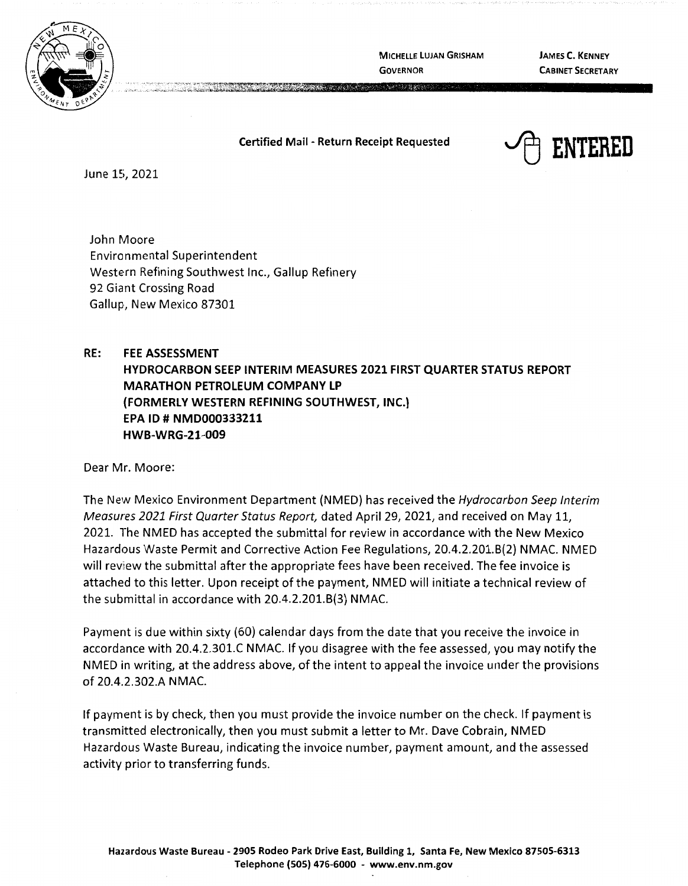

**MICHELLE LUJAN GRISHAM GOVERNOR** 

**The TOP BACK** 

**JAMES C. KENNEY CABINET SECRETARY** 

## **Certified Mail** - **Return Receipt Requested**



June 15, 2021

John Moore Environmental Superintendent Western Refining Southwest Inc., Gallup Refinery 92 Giant Crossing Road Gallup, New Mexico 87301

## **RE: FEE ASSESSMENT HYDROCARBON SEEP INTERIM MEASURES 2021 FIRST QUARTER STATUS REPORT MARATHON PETROLEUM COMPANY LP (FORMERLY WESTERN REFINING SOUTHWEST, INC.) EPA** ID# **NMD000333211 HWB-WRG-21-009**

Dear Mr. Moore:

The New Mexico Environment Department (NMED) has received the Hydrocarbon Seep Interim Measures 2021 First Quarter Status Report, dated April 29, 2021, and received on May 11, 2021. The NMED has accepted the submittal for review in accordance with the New Mexico Hazardous Waste Permit and Corrective Action Fee Regulations, 20.4.2.201.B(2) NMAC. NMED will review the submittal after the appropriate fees have been received. The fee invoice is attached to this letter. Upon receipt of the payment, NMED will initiate a technical review of the submittal in accordance with 20.4.2.201.8(3) NMAC.

Payment is due within sixty (60) calendar days from the date that you receive the invoice in accordance with 20.4.2.301.C **N** MAC. If you disagree with the fee assessed, you may notify the NMED in writing, at the address above, of the intent to appeal the invoice under the provisions of 20.4.2.302.A **NMAC.** 

If payment is by check, then you must provide the invoice number on the check. If payment is transmitted electronically, then you must submit a letter to Mr. Dave Cobrain, NMED Hazardous Waste Bureau, indicating the invoice number, payment amount, and the assessed activity prior to transferring funds.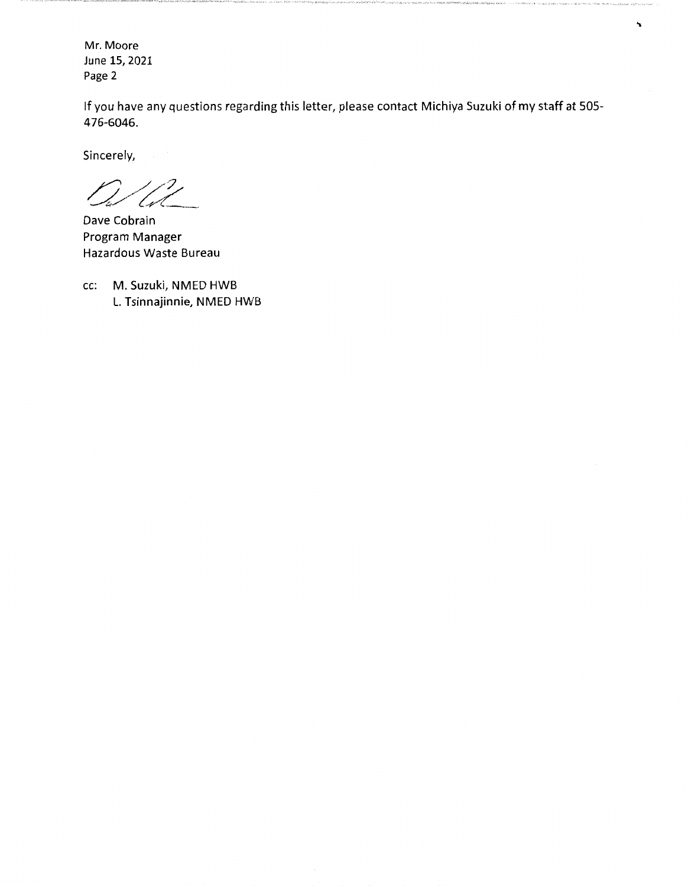Mr. Moore June 15, 2021 Page 2

If you have any questions regarding this letter, please contact Michiya Suzuki of my staff at 505- 476-6046.

Sincerely,

17

Dave Cobrain Program Manager Hazardous Waste Bureau

cc: M. Suzuki, NMED HWB L. Tsinnajinnie, NMED HWB